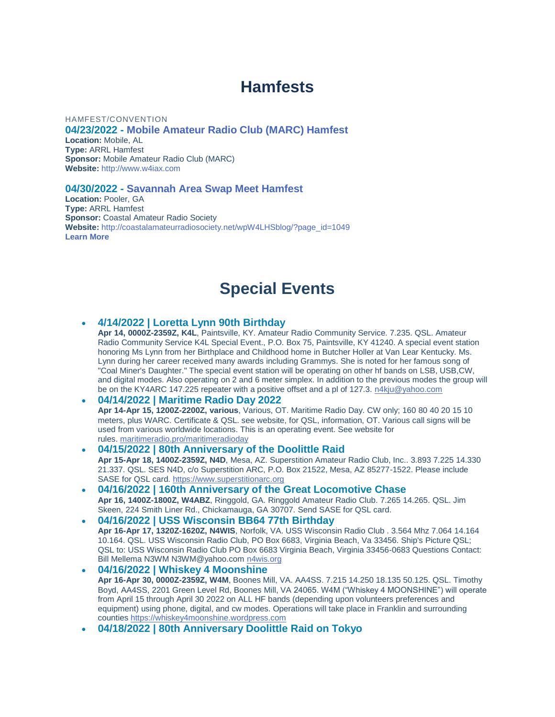# **Hamfests**

#### HAMFEST/CONVENTION

**04/23/2022 - Mobile [Amateur](http://www.arrl.org/hamfests/mobile-amateur-radio-club-marc-hamfest) Radio Club (MARC) Hamfest**

**Location:** Mobile, AL **Type:** ARRL Hamfest **Sponsor:** Mobile Amateur Radio Club (MARC) **Website:** [http://www.w4iax.com](http://www.w4iax.com/)

#### **04/30/2022 - [Savannah](http://www.arrl.org/hamfests/savannah-area-swap-meet-hamfest-1) Area Swap Meet Hamfest**

**Location:** Pooler, GA **Type:** ARRL Hamfest **Sponsor:** Coastal Amateur Radio Society **Website:** [http://coastalamateurradiosociety.net/wpW4LHSblog/?page\\_id=1049](http://coastalamateurradiosociety.net/wpW4LHSblog/?page_id=1049) **[Learn](http://www.arrl.org/hamfests/savannah-area-swap-meet-hamfest-1) More**

## **Special Events**

#### **4/14/2022 | Loretta Lynn 90th Birthday**

**Apr 14, 0000Z-2359Z, K4L**, Paintsville, KY. Amateur Radio Community Service. 7.235. QSL. Amateur Radio Community Service K4L Special Event., P.O. Box 75, Paintsville, KY 41240. A special event station honoring Ms Lynn from her Birthplace and Childhood home in Butcher Holler at Van Lear Kentucky. Ms. Lynn during her career received many awards including Grammys. She is noted for her famous song of "Coal Miner's Daughter." The special event station will be operating on other hf bands on LSB, USB,CW, and digital modes. Also operating on 2 and 6 meter simplex. In addition to the previous modes the group will be on the KY4ARC 147.225 repeater with a positive offset and a pl of 127.3. [n4kju@yahoo.com](mailto:)

#### **04/14/2022 | Maritime Radio Day 2022**

**Apr 14-Apr 15, 1200Z-2200Z, various**, Various, OT. Maritime Radio Day. CW only; 160 80 40 20 15 10 meters, plus WARC. Certificate & QSL. see website, for QSL, information, OT. Various call signs will be used from various worldwide locations. This is an operating event. See website for rules. [maritimeradio.pro/maritimeradioday](http://maritimeradio.pro/maritimeradioday)

- **04/15/2022 | 80th Anniversary of the Doolittle Raid Apr 15-Apr 18, 1400Z-2359Z, N4D**, Mesa, AZ. Superstition Amateur Radio Club, Inc.. 3.893 7.225 14.330 21.337. QSL. SES N4D, c/o Superstition ARC, P.O. Box 21522, Mesa, AZ 85277-1522. Please include SASE for QSL card. [https://www.superstitionarc.org](https://www.superstitionarc.org/)
- **04/16/2022 | 160th Anniversary of the Great Locomotive Chase Apr 16, 1400Z-1800Z, W4ABZ**, Ringgold, GA. Ringgold Amateur Radio Club. 7.265 14.265. QSL. Jim Skeen, 224 Smith Liner Rd., Chickamauga, GA 30707. Send SASE for QSL card.
- **04/16/2022 | USS Wisconsin BB64 77th Birthday Apr 16-Apr 17, 1320Z-1620Z, N4WIS**, Norfolk, VA. USS Wisconsin Radio Club . 3.564 Mhz 7.064 14.164 10.164. QSL. USS Wisconsin Radio Club, PO Box 6683, Virginia Beach, Va 33456. Ship's Picture QSL; QSL to: USS Wisconsin Radio Club PO Box 6683 Virginia Beach, Virginia 33456-0683 Questions Contact: Bill Mellema N3WM N3WM@yahoo.com [n4wis.org](http://n4wis.org/)
- **04/16/2022 | Whiskey 4 Moonshine Apr 16-Apr 30, 0000Z-2359Z, W4M**, Boones Mill, VA. AA4SS. 7.215 14.250 18.135 50.125. QSL. Timothy Boyd, AA4SS, 2201 Green Level Rd, Boones Mill, VA 24065. W4M ("Whiskey 4 MOONSHINE") will operate from April 15 through April 30 2022 on ALL HF bands (depending upon volunteers preferences and equipment) using phone, digital, and cw modes. Operations will take place in Franklin and surrounding counties [https://whiskey4moonshine.wordpress.com](https://whiskey4moonshine.wordpress.com/)
- **04/18/2022 | 80th Anniversary Doolittle Raid on Tokyo**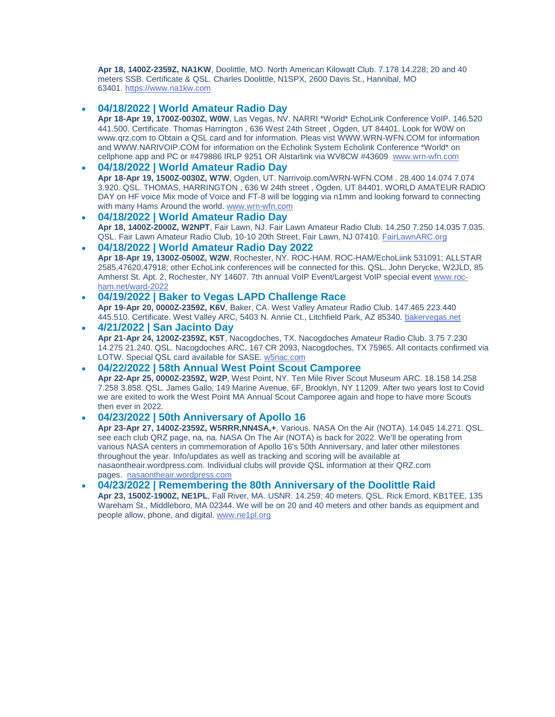**Apr 18, 1400Z-2359Z, NA1KW**, Doolittle, MO. North American Kilowatt Club. 7.178 14.228; 20 and 40 meters SSB. Certificate & QSL. Charles Doolittle, N1SPX, 2600 Davis St., Hannibal, MO 63401. [https://www.na1kw.com](https://www.na1kw.com/)

#### **04/18/2022 | World Amateur Radio Day**

**Apr 18-Apr 19, 1700Z-0030Z, W0W**, Las Vegas, NV. NARRI \*World\* EchoLink Conference VoIP. 146.520 441.500. Certificate. Thomas Harrington , 636 West 24th Street , Ogden, UT 84401. Look for W0W on www.qrz.com to Obtain a QSL card and for information. Pleas vist WWW.WRN-WFN.COM for information and WWW.NARIVOIP.COM for information on the Echolink System Echolink Conference \*World\* on cellphone app and PC or #479886 IRLP 9251 OR Alstarlink via WV8CW #43609 www.wrn-wfn.com

#### **04/18/2022 | World Amateur Radio Day**

**Apr 18-Apr 19, 1500Z-0030Z, W7W**, Ogden, UT. Narrivoip.com/WRN-WFN.COM . 28.400 14.074 7.074 3.920. QSL. THOMAS, HARRINGTON , 636 W 24th street , Ogden, UT 84401. WORLD AMATEUR RADIO DAY on HF voice Mix mode of Voice and FT-8 will be logging via n1mm and looking forward to connecting with many Hams Around the world. www.wrn-wfn.com

- **04/18/2022 | World Amateur Radio Day Apr 18, 1400Z-2000Z, W2NPT**, Fair Lawn, NJ. Fair Lawn Amateur Radio Club. 14.250 7.250 14.035 7.035. QSL. Fair Lawn Amateur Radio Club, 10-10 20th Street, Fair Lawn, NJ 07410. [FairLawnARC.org](http://fairlawnarc.org/)
- **04/18/2022 | World Amateur Radio Day 2022 Apr 18-Apr 19, 1300Z-0500Z, W2W**, Rochester, NY. ROC-HAM. ROC-HAM/EchoLiink 531091; ALLSTAR 2585,47620,47918; other EchoLink conferences will be connected for this. QSL. John Derycke, W2JLD, 85 Amherst St. Apt. 2, Rochester, NY 14607. 7th annual VoIP Event/Largest VoIP special event [www.roc](http://www.roc-ham.net/ward-2022)[ham.net/ward-2022](http://www.roc-ham.net/ward-2022)
- **04/19/2022 | Baker to Vegas LAPD Challenge Race Apr 19-Apr 20, 0000Z-2359Z, K6V**, Baker, CA. West Valley Amateur Radio Club. 147.465 223.440 445.510. Certificate. West Valley ARC, 5403 N. Annie Ct., Litchfield Park, AZ 85340. [bakervegas.net](http://bakervegas.net/)
- **4/21/2022 | San Jacinto Day Apr 21-Apr 24, 1200Z-2359Z, K5T**, Nacogdoches, TX. Nacogdoches Amateur Radio Club. 3.75 7.230 14.275 21.240. QSL. Nacogdoches ARC, 167 CR 2093, Nacogdoches, TX 75965. All contacts confirmed via LOTW. Special QSL card available for SASE. [w5nac.com](http://w5nac.com/)
- **04/22/2022 | 58th Annual West Point Scout Camporee Apr 22-Apr 25, 0000Z-2359Z, W2P**, West Point, NY. Ten Mile River Scout Museum ARC. 18.158 14.258 7.258 3.858. QSL. James Gallo, 149 Marine Avenue, 6F, Brooklyn, NY 11209. After two years lost to Covid we are exited to work the West Point MA Annual Scout Camporee again and hope to have more Scouts then ever in 2022.

#### **04/23/2022 | 50th Anniversary of Apollo 16**

**Apr 23-Apr 27, 1400Z-2359Z, W5RRR,NN4SA,+**, Various. NASA On the Air (NOTA). 14.045 14.271. QSL. see each club QRZ page, na, na. NASA On The Air (NOTA) is back for 2022. We'll be operating from various NASA centers in commemoration of Apollo 16's 50th Anniversary, and later other milestones throughout the year. Info/updates as well as tracking and scoring will be available at nasaontheair.wordpress.com. Individual clubs will provide QSL information at their QRZ.com pages. [nasaontheair.wordpress.com](http://nasaontheair.wordpress.com/)

 **04/23/2022 | Remembering the 80th Anniversary of the Doolittle Raid Apr 23, 1500Z-1900Z, NE1PL**, Fall River, MA. USNR. 14.259; 40 meters. QSL. Rick Emord, KB1TEE, 135 Wareham St., Middleboro, MA 02344. We will be on 20 and 40 meters and other bands as equipment and people allow, phone, and digital. [www.ne1pl.org](http://www.ne1pl.org/)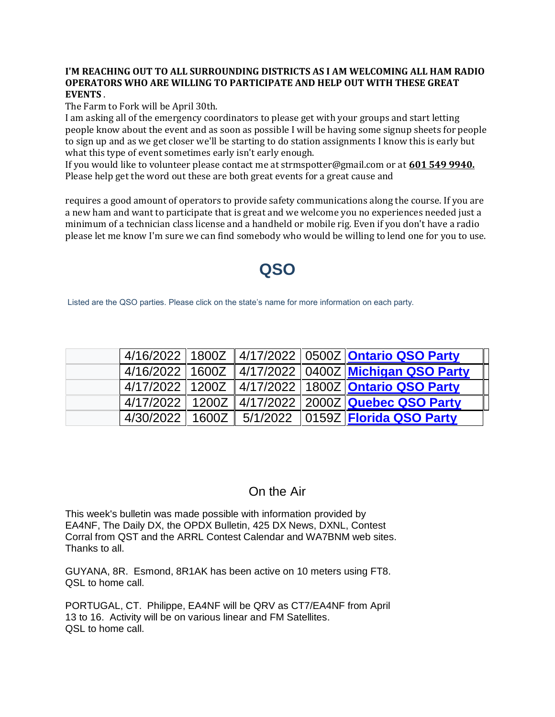#### **I'M REACHING OUT TO ALL SURROUNDING DISTRICTS AS I AM WELCOMING ALL HAM RADIO OPERATORS WHO ARE WILLING TO PARTICIPATE AND HELP OUT WITH THESE GREAT EVENTS** .

The Farm to Fork will be April 30th.

I am asking all of the emergency coordinators to please get with your groups and start letting people know about the event and as soon as possible I will be having some signup sheets for people to sign up and as we get closer we'll be starting to do station assignments I know this is early but what this type of event sometimes early isn't early enough.

If you would like to volunteer please contact me at strmspotter@gmail.com or at **601 549 9940.** Please help get the word out these are both great events for a great cause and

requires a good amount of operators to provide safety communications along the course. If you are a new ham and want to participate that is great and we welcome you no experiences needed just a minimum of a technician class license and a handheld or mobile rig. Even if you don't have a radio please let me know I'm sure we can find somebody who would be willing to lend one for you to use.

# **QSO**

Listed are the QSO parties. Please click on the state's name for more information on each party.

| 4/16/2022 1800Z   |  | 4/17/2022   0500Z <b>Ontario QSO Party</b> |
|-------------------|--|--------------------------------------------|
| 4/16/2022 1600Z   |  | 4/17/2022   0400Z Michigan QSO Party       |
| 4/17/2022 1200Z   |  | 4/17/2022 1800Z Ontario QSO Party          |
| 4/17/2022   1200Z |  | 4/17/2022 2000Z Quebec QSO Party           |
| 4/30/2022 1600Z   |  | 5/1/2022   0159Z   Florida QSO Party       |

### On the Air

This week's bulletin was made possible with information provided by EA4NF, The Daily DX, the OPDX Bulletin, 425 DX News, DXNL, Contest Corral from QST and the ARRL Contest Calendar and WA7BNM web sites. Thanks to all.

GUYANA, 8R. Esmond, 8R1AK has been active on 10 meters using FT8. QSL to home call.

PORTUGAL, CT. Philippe, EA4NF will be QRV as CT7/EA4NF from April 13 to 16. Activity will be on various linear and FM Satellites. QSL to home call.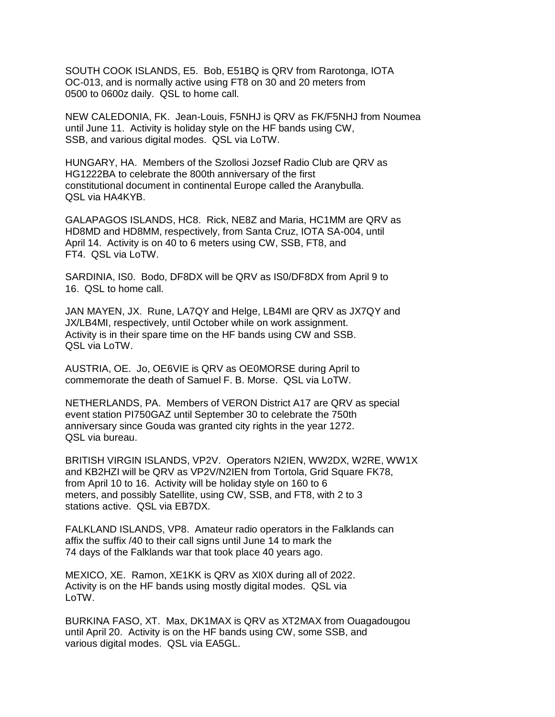SOUTH COOK ISLANDS, E5. Bob, E51BQ is QRV from Rarotonga, IOTA OC-013, and is normally active using FT8 on 30 and 20 meters from 0500 to 0600z daily. QSL to home call.

NEW CALEDONIA, FK. Jean-Louis, F5NHJ is QRV as FK/F5NHJ from Noumea until June 11. Activity is holiday style on the HF bands using CW, SSB, and various digital modes. QSL via LoTW.

HUNGARY, HA. Members of the Szollosi Jozsef Radio Club are QRV as HG1222BA to celebrate the 800th anniversary of the first constitutional document in continental Europe called the Aranybulla. QSL via HA4KYB.

GALAPAGOS ISLANDS, HC8. Rick, NE8Z and Maria, HC1MM are QRV as HD8MD and HD8MM, respectively, from Santa Cruz, IOTA SA-004, until April 14. Activity is on 40 to 6 meters using CW, SSB, FT8, and FT4. QSL via LoTW.

SARDINIA, IS0. Bodo, DF8DX will be QRV as IS0/DF8DX from April 9 to 16. QSL to home call.

JAN MAYEN, JX. Rune, LA7QY and Helge, LB4MI are QRV as JX7QY and JX/LB4MI, respectively, until October while on work assignment. Activity is in their spare time on the HF bands using CW and SSB. QSL via LoTW.

AUSTRIA, OE. Jo, OE6VIE is QRV as OE0MORSE during April to commemorate the death of Samuel F. B. Morse. QSL via LoTW.

NETHERLANDS, PA. Members of VERON District A17 are QRV as special event station PI750GAZ until September 30 to celebrate the 750th anniversary since Gouda was granted city rights in the year 1272. QSL via bureau.

BRITISH VIRGIN ISLANDS, VP2V. Operators N2IEN, WW2DX, W2RE, WW1X and KB2HZI will be QRV as VP2V/N2IEN from Tortola, Grid Square FK78, from April 10 to 16. Activity will be holiday style on 160 to 6 meters, and possibly Satellite, using CW, SSB, and FT8, with 2 to 3 stations active. QSL via EB7DX.

FALKLAND ISLANDS, VP8. Amateur radio operators in the Falklands can affix the suffix /40 to their call signs until June 14 to mark the 74 days of the Falklands war that took place 40 years ago.

MEXICO, XE. Ramon, XE1KK is QRV as XI0X during all of 2022. Activity is on the HF bands using mostly digital modes. QSL via LoTW.

BURKINA FASO, XT. Max, DK1MAX is QRV as XT2MAX from Ouagadougou until April 20. Activity is on the HF bands using CW, some SSB, and various digital modes. QSL via EA5GL.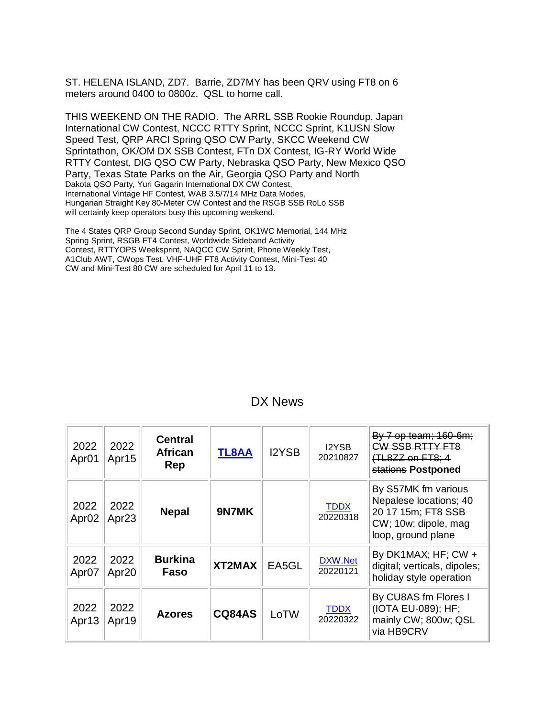ST. HELENA ISLAND, ZD7. Barrie, ZD7MY has been QRV using FT8 on 6 meters around 0400 to 0800z. QSL to home call.

THIS WEEKEND ON THE RADIO. The ARRL SSB Rookie Roundup, Japan International CW Contest, NCCC RTTY Sprint, NCCC Sprint, K1USN Slow Speed Test, QRP ARCI Spring QSO CW Party, SKCC Weekend CW Sprintathon, OK/OM DX SSB Contest, FTn DX Contest, IG-RY World Wide RTTY Contest, DIG QSO CW Party, Nebraska QSO Party, New Mexico QSO Party, Texas State Parks on the Air, Georgia QSO Party and North Dakota QSO Party, Yuri Gagarin International DX CW Contest, International Vintage HF Contest, WAB 3.5/7/14 MHz Data Modes, Hungarian Straight Key 80-Meter CW Contest and the RSGB SSB RoLo SSB will certainly keep operators busy this upcoming weekend.

The 4 States QRP Group Second Sunday Sprint, OK1WC Memorial, 144 MHz Spring Sprint, RSGB FT4 Contest, Worldwide Sideband Activity Contest, RTTYOPS Weeksprint, NAQCC CW Sprint, Phone Weekly Test, A1Club AWT, CWops Test, VHF-UHF FT8 Activity Contest, Mini-Test 40 CW and Mini-Test 80 CW are scheduled for April 11 to 13.

| 2022<br>Apr <sub>01</sub> | 2022<br>Apr15             | <b>Central</b><br><b>African</b><br>Rep | <b>TL8AA</b>  | <b>I2YSB</b> | <b>I2YSB</b><br>20210827 | By 7 op team; 160-6m;<br>CW SSB RTTY FT8<br>(TL8ZZ on FT8; 4<br>stations Postponed                                |
|---------------------------|---------------------------|-----------------------------------------|---------------|--------------|--------------------------|-------------------------------------------------------------------------------------------------------------------|
| 2022<br>Apr <sub>02</sub> | 2022<br>Apr <sub>23</sub> | <b>Nepal</b>                            | 9N7MK         |              | <b>TDDX</b><br>20220318  | By S57MK fm various<br>Nepalese locations; 40<br>20 17 15m; FT8 SSB<br>CW; 10w; dipole, mag<br>loop, ground plane |
| 2022<br>Apr <sub>07</sub> | 2022<br>Apr <sub>20</sub> | <b>Burkina</b><br>Faso                  | XT2MAX        | EA5GL        | DXW.Net<br>20220121      | By DK1MAX; HF; $CW +$<br>digital; verticals, dipoles;<br>holiday style operation                                  |
| 2022<br>Apr <sub>13</sub> | 2022<br>Apr <sub>19</sub> | <b>Azores</b>                           | <b>CQ84AS</b> | LoTW         | <b>TDDX</b><br>20220322  | By CU8AS fm Flores I<br>(IOTA EU-089); HF;<br>mainly CW; 800w; QSL<br>via HB9CRV                                  |